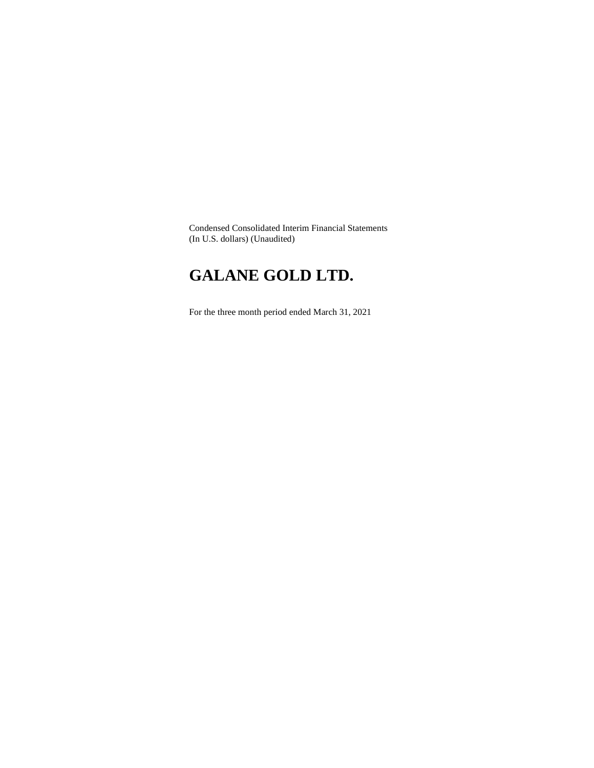Condensed Consolidated Interim Financial Statements (In U.S. dollars) (Unaudited)

# **GALANE GOLD LTD.**

For the three month period ended March 31, 2021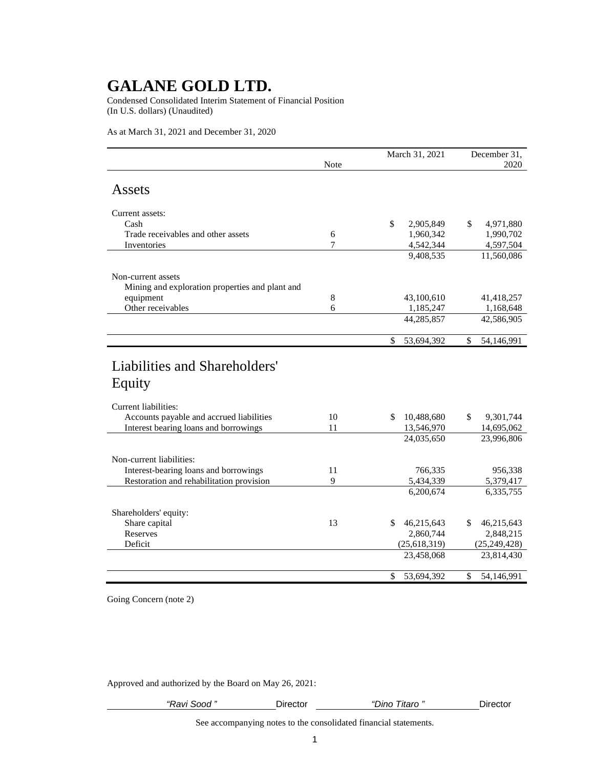Condensed Consolidated Interim Statement of Financial Position (In U.S. dollars) (Unaudited)

As at March 31, 2021 and December 31, 2020

|                                                 | Note |               | March 31, 2021 | December 31,<br>2020 |                |  |
|-------------------------------------------------|------|---------------|----------------|----------------------|----------------|--|
| Assets                                          |      |               |                |                      |                |  |
|                                                 |      |               |                |                      |                |  |
| Current assets:                                 |      |               |                |                      |                |  |
| Cash                                            |      | \$            | 2,905,849      | \$                   | 4,971,880      |  |
| Trade receivables and other assets              | 6    |               | 1,960,342      |                      | 1,990,702      |  |
| Inventories                                     | 7    |               | 4,542,344      |                      | 4,597,504      |  |
|                                                 |      |               | 9,408,535      |                      | 11,560,086     |  |
| Non-current assets                              |      |               |                |                      |                |  |
| Mining and exploration properties and plant and |      |               |                |                      |                |  |
| equipment                                       | 8    |               | 43,100,610     |                      | 41,418,257     |  |
| Other receivables                               | 6    |               | 1,185,247      |                      | 1,168,648      |  |
|                                                 |      |               | 44,285,857     |                      | 42,586,905     |  |
|                                                 |      | $\mathcal{S}$ | 53,694,392     | \$                   | 54,146,991     |  |
| Liabilities and Shareholders'<br>Equity         |      |               |                |                      |                |  |
| Current liabilities:                            |      |               |                |                      |                |  |
| Accounts payable and accrued liabilities        | 10   | \$            | 10,488,680     | \$                   | 9,301,744      |  |
| Interest bearing loans and borrowings           | 11   |               | 13,546,970     |                      | 14,695,062     |  |
|                                                 |      |               | 24,035,650     |                      | 23,996,806     |  |
| Non-current liabilities:                        |      |               |                |                      |                |  |
| Interest-bearing loans and borrowings           | 11   |               | 766,335        |                      | 956,338        |  |
| Restoration and rehabilitation provision        | 9    |               | 5,434,339      |                      | 5,379,417      |  |
|                                                 |      |               | 6,200,674      |                      | 6,335,755      |  |
|                                                 |      |               |                |                      |                |  |
| Shareholders' equity:                           |      |               |                |                      |                |  |
| Share capital                                   | 13   | \$            | 46,215,643     | \$                   | 46,215,643     |  |
| <b>Reserves</b>                                 |      |               | 2,860,744      |                      | 2,848,215      |  |
| Deficit                                         |      |               | (25, 618, 319) |                      | (25, 249, 428) |  |
|                                                 |      |               | 23,458,068     |                      | 23,814,430     |  |
|                                                 |      | $\mathcal{S}$ | 53,694,392     | $\mathbb{S}$         | 54,146,991     |  |

Going Concern (note 2)

Approved and authorized by the Board on May 26, 2021:

| <br><br>avı<br>700G | Jirector<br>790 U.S | ıtaro<br>onור | )ır<br>ector |
|---------------------|---------------------|---------------|--------------|
|                     |                     |               |              |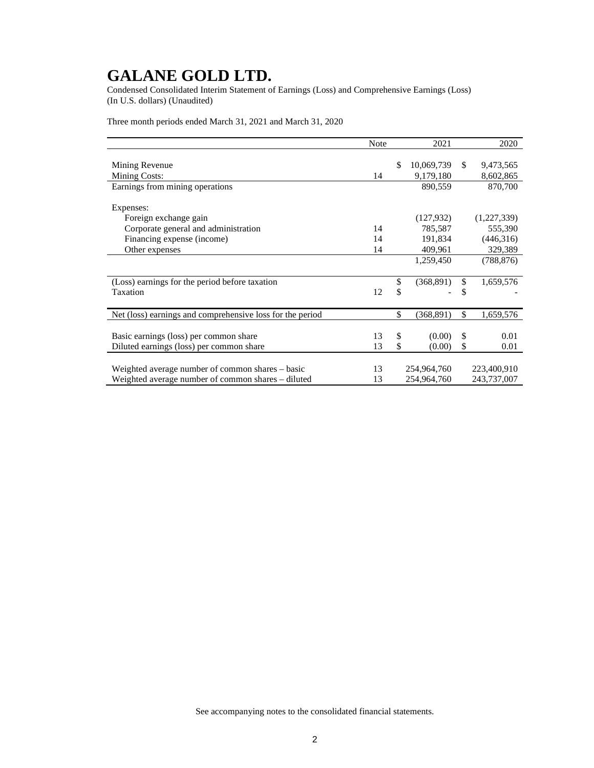Condensed Consolidated Interim Statement of Earnings (Loss) and Comprehensive Earnings (Loss) (In U.S. dollars) (Unaudited)

Three month periods ended March 31, 2021 and March 31, 2020

|                                                           | <b>Note</b> | 2021             |               | 2020        |
|-----------------------------------------------------------|-------------|------------------|---------------|-------------|
|                                                           |             |                  |               |             |
| Mining Revenue                                            |             | \$<br>10,069,739 | \$            | 9,473,565   |
| Mining Costs:                                             | 14          | 9,179,180        |               | 8,602,865   |
| Earnings from mining operations                           |             | 890,559          |               | 870,700     |
|                                                           |             |                  |               |             |
| Expenses:                                                 |             |                  |               |             |
| Foreign exchange gain                                     |             | (127, 932)       |               | (1,227,339) |
| Corporate general and administration                      | 14          | 785,587          |               | 555,390     |
| Financing expense (income)                                | 14          | 191,834          |               | (446,316)   |
| Other expenses                                            | 14          | 409,961          |               | 329,389     |
|                                                           |             | 1,259,450        |               | (788, 876)  |
|                                                           |             |                  |               |             |
| (Loss) earnings for the period before taxation            |             | \$<br>(368, 891) | \$            | 1,659,576   |
| Taxation                                                  | 12          | \$               | \$            |             |
|                                                           |             |                  |               |             |
| Net (loss) earnings and comprehensive loss for the period |             | \$<br>(368, 891) | \$            | 1,659,576   |
|                                                           |             |                  |               |             |
| Basic earnings (loss) per common share                    | 13          | \$<br>(0.00)     | $\mathcal{S}$ | 0.01        |
| Diluted earnings (loss) per common share                  | 13          | \$<br>(0.00)     | \$            | 0.01        |
|                                                           |             |                  |               |             |
| Weighted average number of common shares – basic          | 13          | 254,964,760      |               | 223,400,910 |
| Weighted average number of common shares – diluted        | 13          | 254,964,760      |               | 243,737,007 |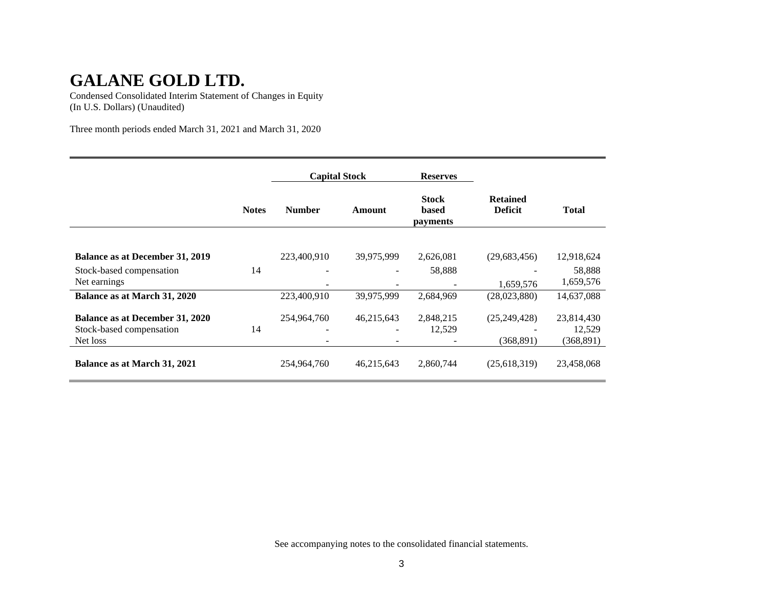Condensed Consolidated Interim Statement of Changes in Equity (In U.S. Dollars) (Unaudited)

Three month periods ended March 31, 2021 and March 31, 2020

|                                                                                |              | <b>Capital Stock</b> |            | <b>Reserves</b>                   |                                   |                                    |
|--------------------------------------------------------------------------------|--------------|----------------------|------------|-----------------------------------|-----------------------------------|------------------------------------|
|                                                                                | <b>Notes</b> | <b>Number</b>        | Amount     | <b>Stock</b><br>based<br>payments | <b>Retained</b><br><b>Deficit</b> | <b>Total</b>                       |
| <b>Balance as at December 31, 2019</b>                                         |              | 223,400,910          | 39,975,999 | 2,626,081                         | (29,683,456)                      | 12,918,624                         |
| Stock-based compensation<br>Net earnings                                       | 14           |                      |            | 58,888                            | 1,659,576                         | 58,888<br>1,659,576                |
| Balance as at March 31, 2020                                                   |              | 223,400,910          | 39,975,999 | 2,684,969                         | (28,023,880)                      | 14,637,088                         |
| <b>Balance as at December 31, 2020</b><br>Stock-based compensation<br>Net loss | 14           | 254,964,760          | 46,215,643 | 2,848,215<br>12,529               | (25, 249, 428)<br>(368, 891)      | 23,814,430<br>12,529<br>(368, 891) |
| Balance as at March 31, 2021                                                   |              | 254,964,760          | 46,215,643 | 2,860,744                         | (25,618,319)                      | 23,458,068                         |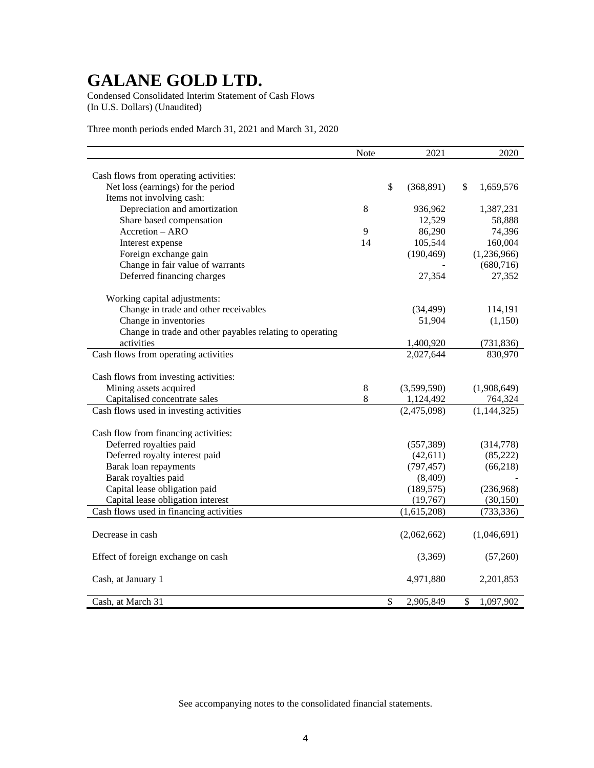Condensed Consolidated Interim Statement of Cash Flows (In U.S. Dollars) (Unaudited)

Three month periods ended March 31, 2021 and March 31, 2020

|                                                          | Note | 2021             | 2020            |
|----------------------------------------------------------|------|------------------|-----------------|
|                                                          |      |                  |                 |
| Cash flows from operating activities:                    |      |                  |                 |
| Net loss (earnings) for the period                       |      | \$<br>(368, 891) | \$<br>1,659,576 |
| Items not involving cash:                                |      |                  |                 |
| Depreciation and amortization                            | 8    | 936,962          | 1,387,231       |
| Share based compensation                                 |      | 12,529           | 58,888          |
| Accretion - ARO                                          | 9    | 86,290           | 74,396          |
| Interest expense                                         | 14   | 105,544          | 160,004         |
| Foreign exchange gain                                    |      | (190, 469)       | (1,236,966)     |
| Change in fair value of warrants                         |      |                  | (680, 716)      |
| Deferred financing charges                               |      | 27,354           | 27,352          |
| Working capital adjustments:                             |      |                  |                 |
| Change in trade and other receivables                    |      | (34, 499)        | 114,191         |
| Change in inventories                                    |      | 51,904           | (1,150)         |
| Change in trade and other payables relating to operating |      |                  |                 |
| activities                                               |      | 1,400,920        | (731, 836)      |
| Cash flows from operating activities                     |      | 2,027,644        | 830,970         |
|                                                          |      |                  |                 |
| Cash flows from investing activities:                    |      |                  |                 |
| Mining assets acquired                                   | 8    | (3,599,590)      | (1,908,649)     |
| Capitalised concentrate sales                            | 8    | 1,124,492        | 764,324         |
| Cash flows used in investing activities                  |      | (2,475,098)      | (1, 144, 325)   |
| Cash flow from financing activities:                     |      |                  |                 |
| Deferred royalties paid                                  |      | (557, 389)       | (314,778)       |
| Deferred royalty interest paid                           |      | (42, 611)        | (85, 222)       |
| Barak loan repayments                                    |      |                  | (66, 218)       |
|                                                          |      | (797, 457)       |                 |
| Barak royalties paid                                     |      | (8,409)          |                 |
| Capital lease obligation paid                            |      | (189, 575)       | (236,968)       |
| Capital lease obligation interest                        |      | (19,767)         | (30, 150)       |
| Cash flows used in financing activities                  |      | (1,615,208)      | (733, 336)      |
|                                                          |      |                  |                 |
| Decrease in cash                                         |      | (2,062,662)      | (1,046,691)     |
| Effect of foreign exchange on cash                       |      | (3,369)          | (57,260)        |
|                                                          |      |                  |                 |
| Cash, at January 1                                       |      | 4,971,880        | 2,201,853       |
| Cash, at March 31                                        |      | \$<br>2,905,849  | \$<br>1,097,902 |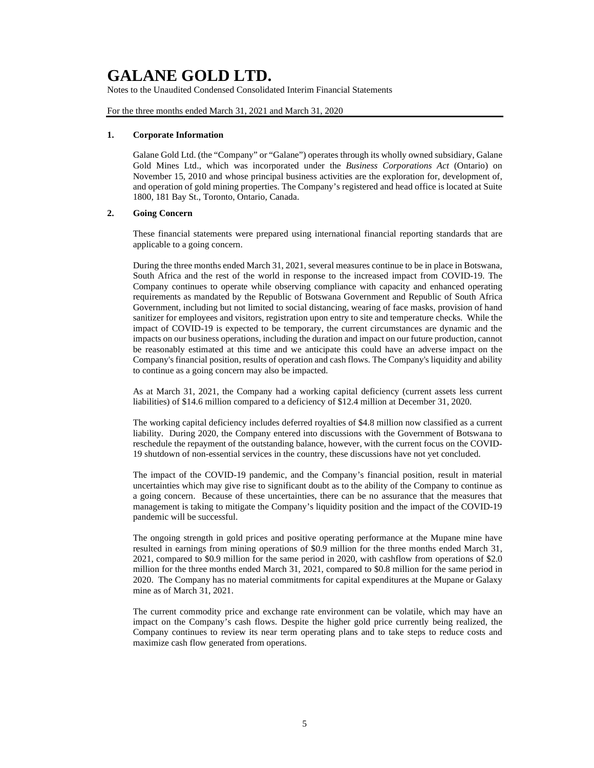Notes to the Unaudited Condensed Consolidated Interim Financial Statements

For the three months ended March 31, 2021 and March 31, 2020

#### **1. Corporate Information**

Galane Gold Ltd. (the "Company" or "Galane") operates through its wholly owned subsidiary, Galane Gold Mines Ltd., which was incorporated under the *Business Corporations Act* (Ontario) on November 15, 2010 and whose principal business activities are the exploration for, development of, and operation of gold mining properties. The Company's registered and head office is located at Suite 1800, 181 Bay St., Toronto, Ontario, Canada.

### **2. Going Concern**

These financial statements were prepared using international financial reporting standards that are applicable to a going concern.

During the three months ended March 31, 2021, several measures continue to be in place in Botswana, South Africa and the rest of the world in response to the increased impact from COVID-19. The Company continues to operate while observing compliance with capacity and enhanced operating requirements as mandated by the Republic of Botswana Government and Republic of South Africa Government, including but not limited to social distancing, wearing of face masks, provision of hand sanitizer for employees and visitors, registration upon entry to site and temperature checks. While the impact of COVID-19 is expected to be temporary, the current circumstances are dynamic and the impacts on our business operations, including the duration and impact on our future production, cannot be reasonably estimated at this time and we anticipate this could have an adverse impact on the Company's financial position, results of operation and cash flows. The Company's liquidity and ability to continue as a going concern may also be impacted.

As at March 31, 2021, the Company had a working capital deficiency (current assets less current liabilities) of \$14.6 million compared to a deficiency of \$12.4 million at December 31, 2020.

The working capital deficiency includes deferred royalties of \$4.8 million now classified as a current liability. During 2020, the Company entered into discussions with the Government of Botswana to reschedule the repayment of the outstanding balance, however, with the current focus on the COVID-19 shutdown of non-essential services in the country, these discussions have not yet concluded.

The impact of the COVID-19 pandemic, and the Company's financial position, result in material uncertainties which may give rise to significant doubt as to the ability of the Company to continue as a going concern. Because of these uncertainties, there can be no assurance that the measures that management is taking to mitigate the Company's liquidity position and the impact of the COVID-19 pandemic will be successful.

The ongoing strength in gold prices and positive operating performance at the Mupane mine have resulted in earnings from mining operations of \$0.9 million for the three months ended March 31, 2021, compared to \$0.9 million for the same period in 2020, with cashflow from operations of \$2.0 million for the three months ended March 31, 2021, compared to \$0.8 million for the same period in 2020. The Company has no material commitments for capital expenditures at the Mupane or Galaxy mine as of March 31, 2021.

The current commodity price and exchange rate environment can be volatile, which may have an impact on the Company's cash flows. Despite the higher gold price currently being realized, the Company continues to review its near term operating plans and to take steps to reduce costs and maximize cash flow generated from operations.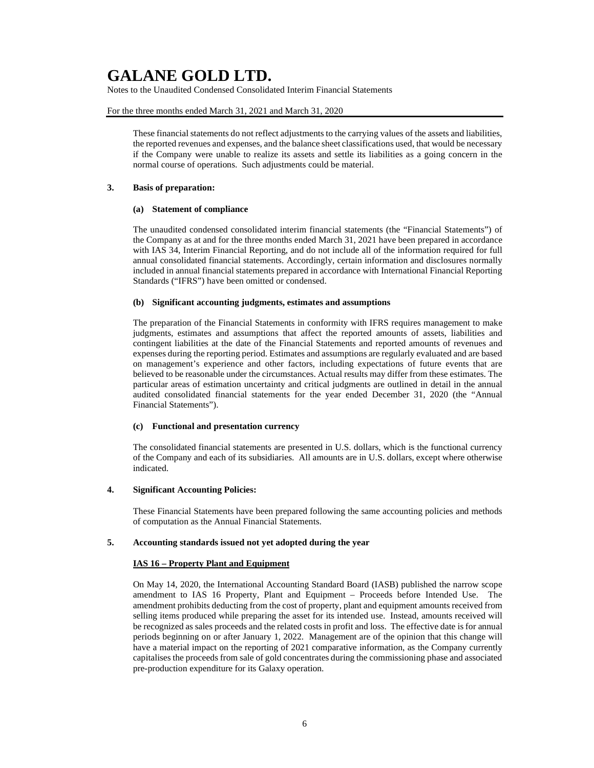Notes to the Unaudited Condensed Consolidated Interim Financial Statements

### For the three months ended March 31, 2021 and March 31, 2020

These financial statements do not reflect adjustments to the carrying values of the assets and liabilities, the reported revenues and expenses, and the balance sheet classifications used, that would be necessary if the Company were unable to realize its assets and settle its liabilities as a going concern in the normal course of operations. Such adjustments could be material.

#### **3. Basis of preparation:**

#### **(a) Statement of compliance**

The unaudited condensed consolidated interim financial statements (the "Financial Statements") of the Company as at and for the three months ended March 31, 2021 have been prepared in accordance with IAS 34, Interim Financial Reporting, and do not include all of the information required for full annual consolidated financial statements. Accordingly, certain information and disclosures normally included in annual financial statements prepared in accordance with International Financial Reporting Standards ("IFRS") have been omitted or condensed.

### **(b) Significant accounting judgments, estimates and assumptions**

The preparation of the Financial Statements in conformity with IFRS requires management to make judgments, estimates and assumptions that affect the reported amounts of assets, liabilities and contingent liabilities at the date of the Financial Statements and reported amounts of revenues and expenses during the reporting period. Estimates and assumptions are regularly evaluated and are based on management's experience and other factors, including expectations of future events that are believed to be reasonable under the circumstances. Actual results may differ from these estimates. The particular areas of estimation uncertainty and critical judgments are outlined in detail in the annual audited consolidated financial statements for the year ended December 31, 2020 (the "Annual Financial Statements").

### **(c) Functional and presentation currency**

The consolidated financial statements are presented in U.S. dollars, which is the functional currency of the Company and each of its subsidiaries. All amounts are in U.S. dollars, except where otherwise indicated.

### **4. Significant Accounting Policies:**

These Financial Statements have been prepared following the same accounting policies and methods of computation as the Annual Financial Statements.

### **5. Accounting standards issued not yet adopted during the year**

### **IAS 16 – Property Plant and Equipment**

On May 14, 2020, the International Accounting Standard Board (IASB) published the narrow scope amendment to IAS 16 Property, Plant and Equipment – Proceeds before Intended Use. The amendment prohibits deducting from the cost of property, plant and equipment amounts received from selling items produced while preparing the asset for its intended use. Instead, amounts received will be recognized as sales proceeds and the related costs in profit and loss. The effective date is for annual periods beginning on or after January 1, 2022. Management are of the opinion that this change will have a material impact on the reporting of 2021 comparative information, as the Company currently capitalises the proceeds from sale of gold concentrates during the commissioning phase and associated pre-production expenditure for its Galaxy operation.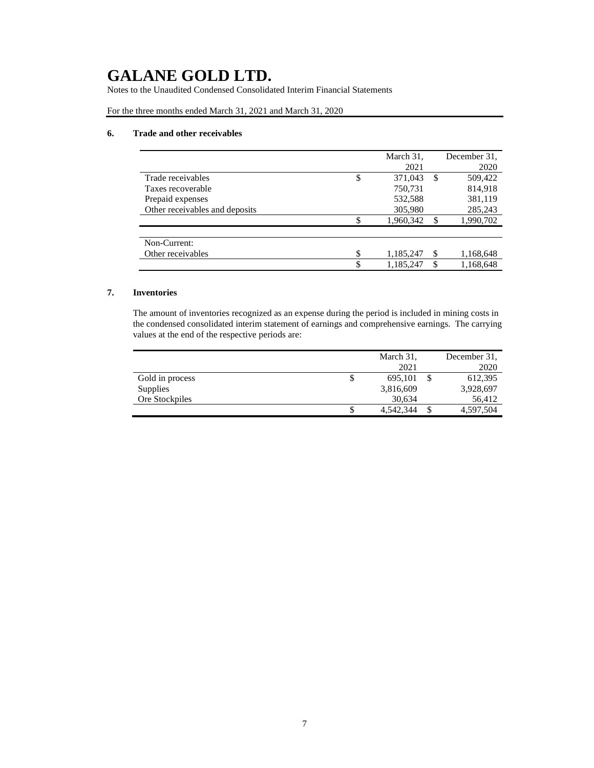Notes to the Unaudited Condensed Consolidated Interim Financial Statements

For the three months ended March 31, 2021 and March 31, 2020

### **6. Trade and other receivables**

|                                | March 31,       |     | December 31. |
|--------------------------------|-----------------|-----|--------------|
|                                | 2021            |     | 2020         |
| Trade receivables              | \$<br>371,043   | S   | 509,422      |
| Taxes recoverable              | 750,731         |     | 814,918      |
| Prepaid expenses               | 532,588         |     | 381,119      |
| Other receivables and deposits | 305,980         |     | 285,243      |
|                                | 1,960,342       |     | 1,990,702    |
| Non-Current:                   |                 |     |              |
|                                |                 |     |              |
| Other receivables              | \$<br>1,185,247 | \$. | 1,168,648    |
|                                | \$<br>1,185,247 |     | 1,168,648    |

### **7. Inventories**

The amount of inventories recognized as an expense during the period is included in mining costs in the condensed consolidated interim statement of earnings and comprehensive earnings. The carrying values at the end of the respective periods are:

|                 |    | March 31, |   | December 31. |
|-----------------|----|-----------|---|--------------|
|                 |    | 2021      |   | 2020         |
| Gold in process | \$ | 695,101   |   | 612,395      |
| Supplies        |    | 3,816,609 |   | 3,928,697    |
| Ore Stockpiles  |    | 30,634    |   | 56,412       |
|                 | S  | 4.542.344 | S | 4,597,504    |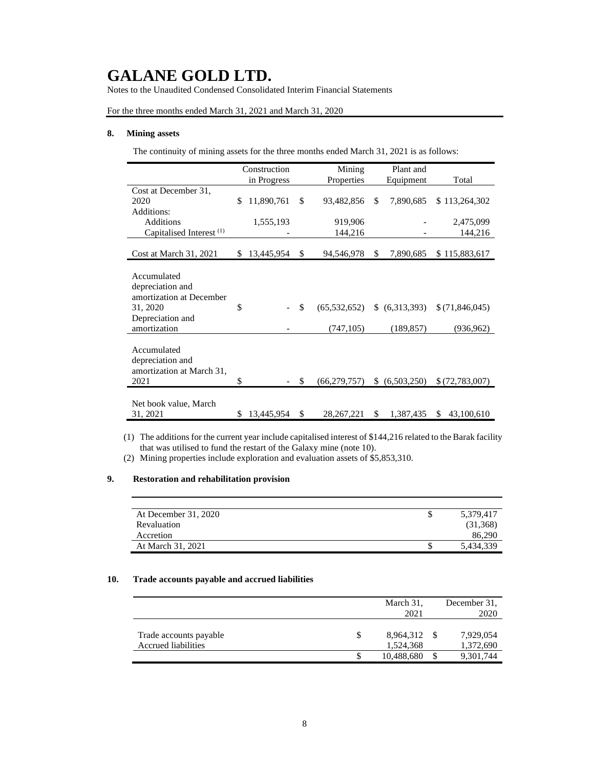Notes to the Unaudited Condensed Consolidated Interim Financial Statements

For the three months ended March 31, 2021 and March 31, 2020

### **8. Mining assets**

The continuity of mining assets for the three months ended March 31, 2021 is as follows:

|                                     | Construction |             | Mining | Plant and      |                   |                  |
|-------------------------------------|--------------|-------------|--------|----------------|-------------------|------------------|
|                                     |              | in Progress |        | Properties     | Equipment         | Total            |
| Cost at December 31,                |              |             |        |                |                   |                  |
| 2020                                | \$           | 11,890,761  | \$     | 93,482,856     | \$<br>7,890,685   | \$113,264,302    |
| Additions:                          |              |             |        |                |                   |                  |
| Additions                           |              | 1,555,193   |        | 919,906        |                   | 2,475,099        |
| Capitalised Interest <sup>(1)</sup> |              |             |        | 144,216        |                   | 144,216          |
|                                     |              |             |        |                |                   |                  |
| Cost at March 31, 2021              | \$.          | 13,445,954  | \$     | 94,546,978     | \$<br>7,890,685   | \$115,883,617    |
|                                     |              |             |        |                |                   |                  |
| Accumulated                         |              |             |        |                |                   |                  |
| depreciation and                    |              |             |        |                |                   |                  |
| amortization at December            |              |             |        |                |                   |                  |
| 31, 2020                            | \$           |             | \$     | (65, 532, 652) | (6,313,393)       | \$(71,846,045)   |
| Depreciation and                    |              |             |        |                |                   |                  |
| amortization                        |              |             |        | (747, 105)     | (189, 857)        | (936, 962)       |
|                                     |              |             |        |                |                   |                  |
| Accumulated                         |              |             |        |                |                   |                  |
| depreciation and                    |              |             |        |                |                   |                  |
| amortization at March 31,           |              |             |        |                |                   |                  |
| 2021                                | \$           |             | \$.    | (66, 279, 757) | \$<br>(6,503,250) | \$(72,783,007)   |
|                                     |              |             |        |                |                   |                  |
| Net book value, March               |              |             |        |                |                   |                  |
| 31, 2021                            | \$           | 13,445,954  | \$.    | 28, 267, 221   | \$<br>1,387,435   | \$<br>43,100,610 |

(1) The additions for the current year include capitalised interest of \$144,216 related to the Barak facility that was utilised to fund the restart of the Galaxy mine (note 10).

(2) Mining properties include exploration and evaluation assets of \$5,853,310.

### **9. Restoration and rehabilitation provision**

| 5,379,417<br>S | At December 31, 2020 |
|----------------|----------------------|
| (31,368)       | Revaluation          |
| 86,290         | Accretion            |
| 5.434.339<br>S | At March 31, 2021    |
|                |                      |

### **10. Trade accounts payable and accrued liabilities**

| March 31,       | December 31. |
|-----------------|--------------|
| 2021            | 2020         |
|                 |              |
| \$<br>8,964,312 | 7,929,054    |
| 1.524.368       | 1,372,690    |
| 10,488,680      | 9,301,744    |
|                 |              |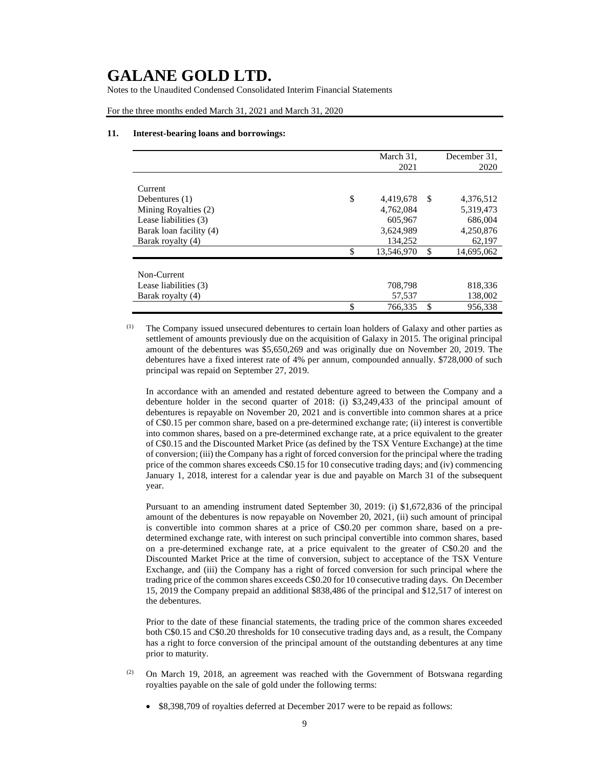Notes to the Unaudited Condensed Consolidated Interim Financial Statements

For the three months ended March 31, 2021 and March 31, 2020

#### **11. Interest-bearing loans and borrowings:**

|                         | March 31,<br>2021 |    | December 31.<br>2020 |
|-------------------------|-------------------|----|----------------------|
|                         |                   |    |                      |
| Current                 |                   |    |                      |
| Debentures $(1)$        | \$<br>4,419,678   | -S | 4,376,512            |
| Mining Royalties (2)    | 4,762,084         |    | 5,319,473            |
| Lease liabilities (3)   | 605,967           |    | 686,004              |
| Barak loan facility (4) | 3,624,989         |    | 4,250,876            |
| Barak royalty (4)       | 134,252           |    | 62,197               |
|                         | \$<br>13,546,970  | S  | 14,695,062           |
|                         |                   |    |                      |
| Non-Current             |                   |    |                      |
| Lease liabilities (3)   | 708,798           |    | 818,336              |
| Barak royalty (4)       | 57,537            |    | 138,002              |
|                         | \$<br>766,335     | \$ | 956.338              |

(1) The Company issued unsecured debentures to certain loan holders of Galaxy and other parties as settlement of amounts previously due on the acquisition of Galaxy in 2015. The original principal amount of the debentures was \$5,650,269 and was originally due on November 20, 2019. The debentures have a fixed interest rate of 4% per annum, compounded annually. \$728,000 of such principal was repaid on September 27, 2019.

In accordance with an amended and restated debenture agreed to between the Company and a debenture holder in the second quarter of 2018: (i) \$3,249,433 of the principal amount of debentures is repayable on November 20, 2021 and is convertible into common shares at a price of C\$0.15 per common share, based on a pre-determined exchange rate; (ii) interest is convertible into common shares, based on a pre-determined exchange rate, at a price equivalent to the greater of C\$0.15 and the Discounted Market Price (as defined by the TSX Venture Exchange) at the time of conversion; (iii) the Company has a right of forced conversion for the principal where the trading price of the common shares exceeds C\$0.15 for 10 consecutive trading days; and (iv) commencing January 1, 2018, interest for a calendar year is due and payable on March 31 of the subsequent year.

Pursuant to an amending instrument dated September 30, 2019: (i) \$1,672,836 of the principal amount of the debentures is now repayable on November 20, 2021, (ii) such amount of principal is convertible into common shares at a price of C\$0.20 per common share, based on a predetermined exchange rate, with interest on such principal convertible into common shares, based on a pre-determined exchange rate, at a price equivalent to the greater of C\$0.20 and the Discounted Market Price at the time of conversion, subject to acceptance of the TSX Venture Exchange, and (iii) the Company has a right of forced conversion for such principal where the trading price of the common shares exceeds C\$0.20 for 10 consecutive trading days. On December 15, 2019 the Company prepaid an additional \$838,486 of the principal and \$12,517 of interest on the debentures.

Prior to the date of these financial statements, the trading price of the common shares exceeded both C\$0.15 and C\$0.20 thresholds for 10 consecutive trading days and, as a result, the Company has a right to force conversion of the principal amount of the outstanding debentures at any time prior to maturity.

- $(2)$  On March 19, 2018, an agreement was reached with the Government of Botswana regarding royalties payable on the sale of gold under the following terms:
	- \$8,398,709 of royalties deferred at December 2017 were to be repaid as follows: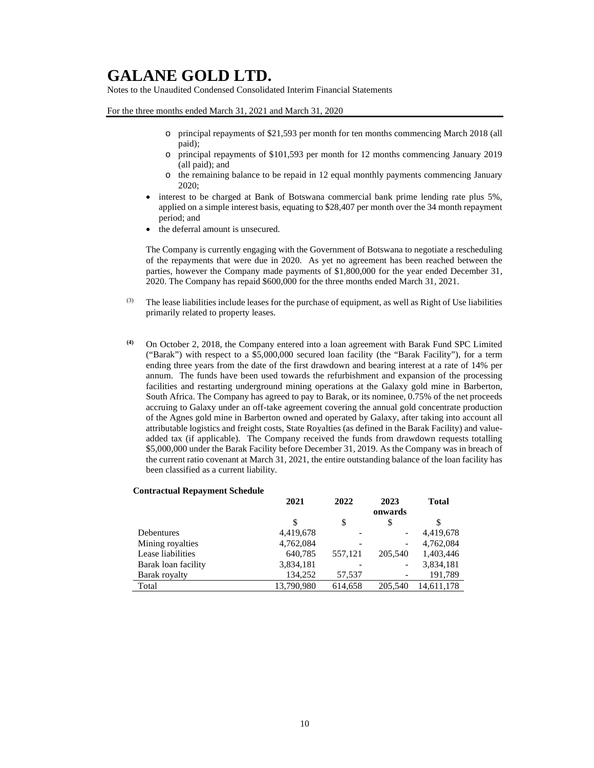Notes to the Unaudited Condensed Consolidated Interim Financial Statements

For the three months ended March 31, 2021 and March 31, 2020

- o principal repayments of \$21,593 per month for ten months commencing March 2018 (all paid);
- o principal repayments of \$101,593 per month for 12 months commencing January 2019 (all paid); and
- o the remaining balance to be repaid in 12 equal monthly payments commencing January 2020;
- interest to be charged at Bank of Botswana commercial bank prime lending rate plus 5%, applied on a simple interest basis, equating to \$28,407 per month over the 34 month repayment period; and
- the deferral amount is unsecured.

The Company is currently engaging with the Government of Botswana to negotiate a rescheduling of the repayments that were due in 2020. As yet no agreement has been reached between the parties, however the Company made payments of \$1,800,000 for the year ended December 31, 2020. The Company has repaid \$600,000 for the three months ended March 31, 2021.

- $<sup>(3)</sup>$  The lease liabilities include leases for the purchase of equipment, as well as Right of Use liabilities</sup> primarily related to property leases.
- **(4)** On October 2, 2018, the Company entered into a loan agreement with Barak Fund SPC Limited ("Barak") with respect to a \$5,000,000 secured loan facility (the "Barak Facility"), for a term ending three years from the date of the first drawdown and bearing interest at a rate of 14% per annum. The funds have been used towards the refurbishment and expansion of the processing facilities and restarting underground mining operations at the Galaxy gold mine in Barberton, South Africa. The Company has agreed to pay to Barak, or its nominee, 0.75% of the net proceeds accruing to Galaxy under an off-take agreement covering the annual gold concentrate production of the Agnes gold mine in Barberton owned and operated by Galaxy, after taking into account all attributable logistics and freight costs, State Royalties (as defined in the Barak Facility) and valueadded tax (if applicable). The Company received the funds from drawdown requests totalling \$5,000,000 under the Barak Facility before December 31, 2019. As the Company was in breach of the current ratio covenant at March 31, 2021, the entire outstanding balance of the loan facility has been classified as a current liability.

#### **Contractual Repayment Schedule**

|                     | 2021       | 2022    | 2023                         | <b>Total</b> |
|---------------------|------------|---------|------------------------------|--------------|
|                     |            |         | onwards                      |              |
|                     | \$         | \$      | S                            | \$           |
| <b>Debentures</b>   | 4,419,678  |         | $\qquad \qquad \blacksquare$ | 4,419,678    |
| Mining royalties    | 4,762,084  |         | $\qquad \qquad$              | 4,762,084    |
| Lease liabilities   | 640,785    | 557,121 | 205,540                      | 1,403,446    |
| Barak loan facility | 3,834,181  |         |                              | 3,834,181    |
| Barak royalty       | 134.252    | 57,537  |                              | 191.789      |
| Total               | 13,790,980 | 614,658 | 205,540                      | 14.611.178   |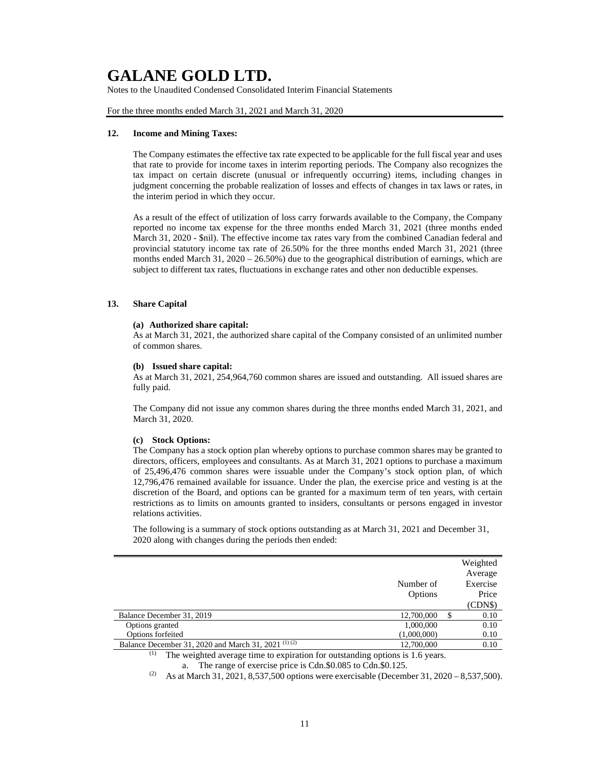Notes to the Unaudited Condensed Consolidated Interim Financial Statements

For the three months ended March 31, 2021 and March 31, 2020

#### **12. Income and Mining Taxes:**

The Company estimates the effective tax rate expected to be applicable for the full fiscal year and uses that rate to provide for income taxes in interim reporting periods. The Company also recognizes the tax impact on certain discrete (unusual or infrequently occurring) items, including changes in judgment concerning the probable realization of losses and effects of changes in tax laws or rates, in the interim period in which they occur.

As a result of the effect of utilization of loss carry forwards available to the Company, the Company reported no income tax expense for the three months ended March 31, 2021 (three months ended March 31, 2020 - \$nil). The effective income tax rates vary from the combined Canadian federal and provincial statutory income tax rate of 26.50% for the three months ended March 31, 2021 (three months ended March 31, 2020 – 26.50%) due to the geographical distribution of earnings, which are subject to different tax rates, fluctuations in exchange rates and other non deductible expenses.

### **13. Share Capital**

### **(a) Authorized share capital:**

As at March 31, 2021, the authorized share capital of the Company consisted of an unlimited number of common shares.

### **(b) Issued share capital:**

As at March 31, 2021, 254,964,760 common shares are issued and outstanding. All issued shares are fully paid.

The Company did not issue any common shares during the three months ended March 31, 2021, and March 31, 2020.

#### **(c) Stock Options:**

The Company has a stock option plan whereby options to purchase common shares may be granted to directors, officers, employees and consultants. As at March 31, 2021 options to purchase a maximum of 25,496,476 common shares were issuable under the Company's stock option plan, of which 12,796,476 remained available for issuance. Under the plan, the exercise price and vesting is at the discretion of the Board, and options can be granted for a maximum term of ten years, with certain restrictions as to limits on amounts granted to insiders, consultants or persons engaged in investor relations activities.

The following is a summary of stock options outstanding as at March 31, 2021 and December 31, 2020 along with changes during the periods then ended:

|                                                                                                                                                                                                                                                |             |   | Weighted |
|------------------------------------------------------------------------------------------------------------------------------------------------------------------------------------------------------------------------------------------------|-------------|---|----------|
|                                                                                                                                                                                                                                                |             |   | Average  |
|                                                                                                                                                                                                                                                | Number of   |   | Exercise |
|                                                                                                                                                                                                                                                | Options     |   | Price    |
|                                                                                                                                                                                                                                                |             |   | (CDN\$)  |
| Balance December 31, 2019                                                                                                                                                                                                                      | 12,700,000  | S | 0.10     |
| Options granted                                                                                                                                                                                                                                | 1,000,000   |   | 0.10     |
| Options forfeited                                                                                                                                                                                                                              | (1,000,000) |   | 0.10     |
| Balance December 31, 2020 and March 31, 2021 <sup>(1)(2)</sup>                                                                                                                                                                                 | 12,700,000  |   | 0.10     |
| $(1)$ and $(1)$ and $(1)$ and $(1)$ and $(1)$ and $(1)$ and $(1)$ and $(1)$ and $(1)$ and $(1)$ and $(1)$ and $(1)$ and $(1)$ and $(1)$ and $(1)$ and $(1)$ and $(1)$ and $(1)$ and $(1)$ and $(1)$ and $(1)$ and $(1)$ and<br>$\cdot$ $\cdot$ |             |   |          |

The weighted average time to expiration for outstanding options is 1.6 years. a. The range of exercise price is Cdn.\$0.085 to Cdn.\$0.125.

<sup>(2)</sup> As at March 31, 2021, 8,537,500 options were exercisable (December 31, 2020 – 8,537,500).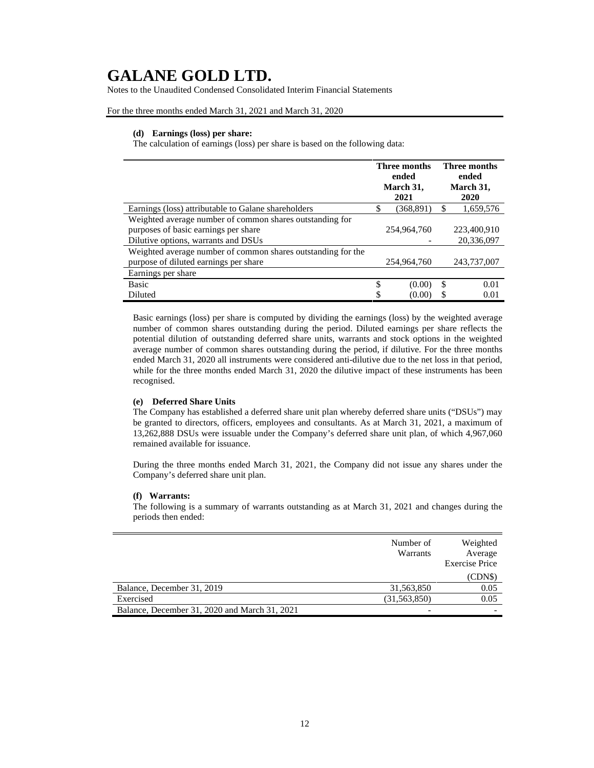Notes to the Unaudited Condensed Consolidated Interim Financial Statements

For the three months ended March 31, 2021 and March 31, 2020

### **(d) Earnings (loss) per share:**

The calculation of earnings (loss) per share is based on the following data:

|                                                              | <b>Three months</b><br>ended<br>March 31, |             |     | <b>Three months</b><br>ended<br>March 31, |
|--------------------------------------------------------------|-------------------------------------------|-------------|-----|-------------------------------------------|
|                                                              |                                           | 2021        |     | 2020                                      |
| Earnings (loss) attributable to Galane shareholders          | \$                                        | (368, 891)  | S   | 1,659,576                                 |
| Weighted average number of common shares outstanding for     |                                           |             |     |                                           |
| purposes of basic earnings per share                         |                                           | 254,964,760 |     | 223,400,910                               |
| Dilutive options, warrants and DSUs                          |                                           |             |     | 20,336,097                                |
| Weighted average number of common shares outstanding for the |                                           |             |     |                                           |
| purpose of diluted earnings per share                        |                                           | 254,964,760 |     | 243,737,007                               |
| Earnings per share                                           |                                           |             |     |                                           |
| <b>Basic</b>                                                 | \$                                        | (0.00)      | \$. | 0.01                                      |
| Diluted                                                      | \$                                        | (0.00)      | S   | 0.01                                      |

Basic earnings (loss) per share is computed by dividing the earnings (loss) by the weighted average number of common shares outstanding during the period. Diluted earnings per share reflects the potential dilution of outstanding deferred share units, warrants and stock options in the weighted average number of common shares outstanding during the period, if dilutive. For the three months ended March 31, 2020 all instruments were considered anti-dilutive due to the net loss in that period, while for the three months ended March 31, 2020 the dilutive impact of these instruments has been recognised.

### **(e) Deferred Share Units**

The Company has established a deferred share unit plan whereby deferred share units ("DSUs") may be granted to directors, officers, employees and consultants. As at March 31, 2021, a maximum of 13,262,888 DSUs were issuable under the Company's deferred share unit plan, of which 4,967,060 remained available for issuance.

During the three months ended March 31, 2021, the Company did not issue any shares under the Company's deferred share unit plan.

#### **(f) Warrants:**

The following is a summary of warrants outstanding as at March 31, 2021 and changes during the periods then ended:

|                                               | Number of<br>Warrants | Weighted<br>Average<br><b>Exercise Price</b> |
|-----------------------------------------------|-----------------------|----------------------------------------------|
|                                               |                       | (CDNS)                                       |
| Balance, December 31, 2019                    | 31,563,850            | 0.05                                         |
| Exercised                                     | (31, 563, 850)        | 0.05                                         |
| Balance, December 31, 2020 and March 31, 2021 |                       |                                              |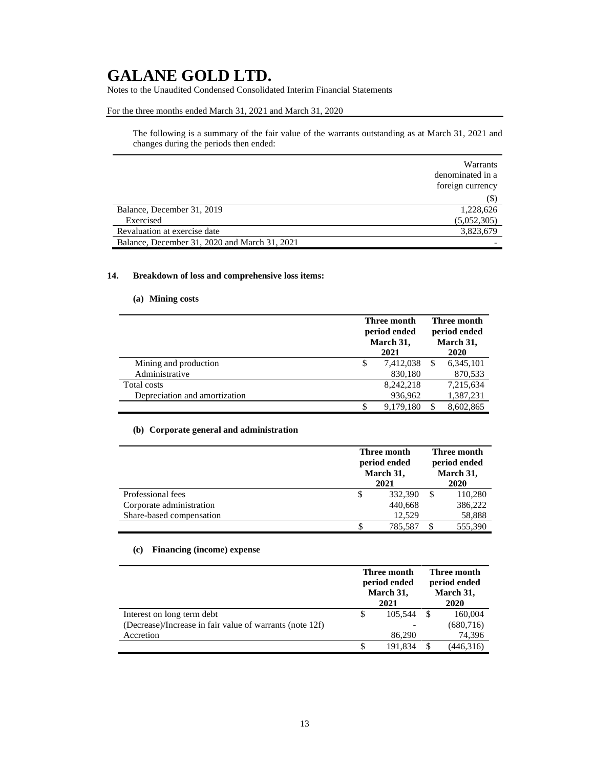Notes to the Unaudited Condensed Consolidated Interim Financial Statements

### For the three months ended March 31, 2021 and March 31, 2020

The following is a summary of the fair value of the warrants outstanding as at March 31, 2021 and changes during the periods then ended:

|                                               | Warrants<br>denominated in a<br>foreign currency |
|-----------------------------------------------|--------------------------------------------------|
|                                               | (\$)                                             |
| Balance, December 31, 2019                    | 1,228,626                                        |
| Exercised                                     | (5,052,305)                                      |
| Revaluation at exercise date                  | 3,823,679                                        |
| Balance, December 31, 2020 and March 31, 2021 |                                                  |

### **14. Breakdown of loss and comprehensive loss items:**

### **(a) Mining costs**

|                               | Three month<br>period ended<br>March 31,<br>2021 |           | Three month<br>period ended<br>March 31,<br>2020 |           |
|-------------------------------|--------------------------------------------------|-----------|--------------------------------------------------|-----------|
| Mining and production         | \$                                               | 7,412,038 |                                                  | 6,345,101 |
| Administrative                |                                                  | 830,180   |                                                  | 870,533   |
| Total costs                   |                                                  | 8.242.218 |                                                  | 7.215.634 |
| Depreciation and amortization |                                                  | 936,962   |                                                  | 1,387,231 |
|                               |                                                  | 9,179,180 |                                                  | 8,602,865 |

### **(b) Corporate general and administration**

|                          | Three month<br>period ended<br>March 31,<br>2021 |         | Three month<br>period ended<br>March 31,<br>2020 |         |
|--------------------------|--------------------------------------------------|---------|--------------------------------------------------|---------|
| Professional fees        | \$                                               | 332,390 |                                                  | 110,280 |
| Corporate administration |                                                  | 440,668 |                                                  | 386,222 |
| Share-based compensation |                                                  | 12.529  |                                                  | 58,888  |
|                          | \$                                               | 785.587 |                                                  | 555,390 |

### **(c) Financing (income) expense**

|                                                          | Three month<br>period ended<br>March 31,<br>2021 |         | Three month<br>period ended<br>March 31,<br>2020 |            |
|----------------------------------------------------------|--------------------------------------------------|---------|--------------------------------------------------|------------|
| Interest on long term debt                               |                                                  | 105.544 | -S                                               | 160,004    |
| (Decrease)/Increase in fair value of warrants (note 12f) |                                                  |         |                                                  | (680, 716) |
| Accretion                                                |                                                  | 86.290  |                                                  | 74,396     |
|                                                          |                                                  | 191.834 |                                                  | (446,316)  |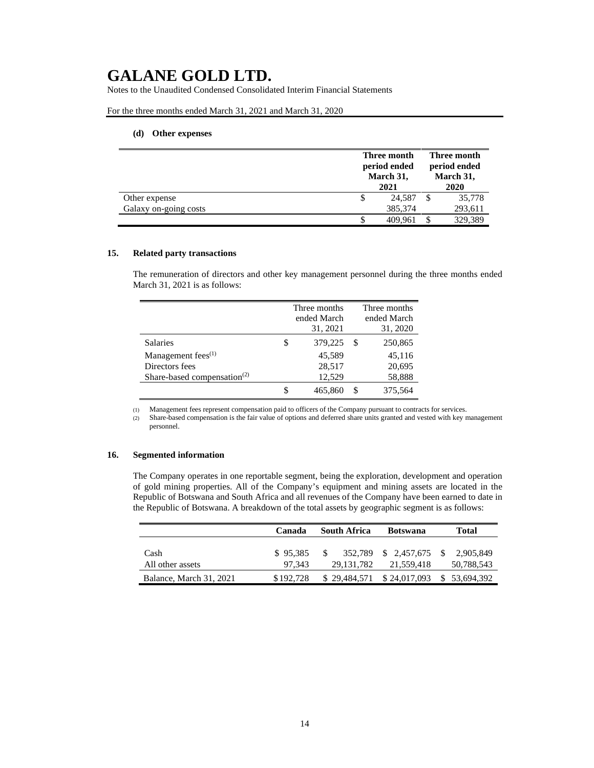Notes to the Unaudited Condensed Consolidated Interim Financial Statements

For the three months ended March 31, 2021 and March 31, 2020

### **(d) Other expenses**

|                       |                           | Three month |                           | Three month |  |
|-----------------------|---------------------------|-------------|---------------------------|-------------|--|
|                       | period ended<br>March 31, |             | period ended<br>March 31, |             |  |
|                       |                           | 2021        |                           | 2020        |  |
| Other expense         | \$                        | 24,587      |                           | 35,778      |  |
| Galaxy on-going costs |                           | 385,374     |                           | 293,611     |  |
|                       |                           | 409.961     |                           | 329.389     |  |

#### **15. Related party transactions**

The remuneration of directors and other key management personnel during the three months ended March 31, 2021 is as follows:

|                                                      | Three months<br>ended March<br>31, 2021 |   | Three months<br>ended March<br>31, 2020 |
|------------------------------------------------------|-----------------------------------------|---|-----------------------------------------|
| <b>Salaries</b>                                      | \$<br>379,225                           | S | 250,865                                 |
| Management fees <sup>(1)</sup>                       | 45,589                                  |   | 45,116                                  |
| Directors fees                                       | 28,517                                  |   | 20,695                                  |
| Share-based compensation <sup><math>(2)</math></sup> | 12,529                                  |   | 58,888                                  |
|                                                      | 465,860                                 | S | 375,564                                 |

(1) Management fees represent compensation paid to officers of the Company pursuant to contracts for services.

(2) Share-based compensation is the fair value of options and deferred share units granted and vested with key management personnel.

#### **16. Segmented information**

The Company operates in one reportable segment, being the exploration, development and operation of gold mining properties. All of the Company's equipment and mining assets are located in the Republic of Botswana and South Africa and all revenues of the Company have been earned to date in the Republic of Botswana. A breakdown of the total assets by geographic segment is as follows:

|                         | Canada    | South Africa | <b>Botswana</b>      |                             |
|-------------------------|-----------|--------------|----------------------|-----------------------------|
| Cash                    | \$95.385  |              | 352,789 \$ 2,457,675 | $^{\circ}$<br>2.905.849     |
| All other assets        | 97.343    | 29, 131, 782 | 21,559,418           | 50,788,543                  |
| Balance, March 31, 2021 | \$192.728 | \$29,484,571 |                      | $$24,017,093$ $$53,694,392$ |